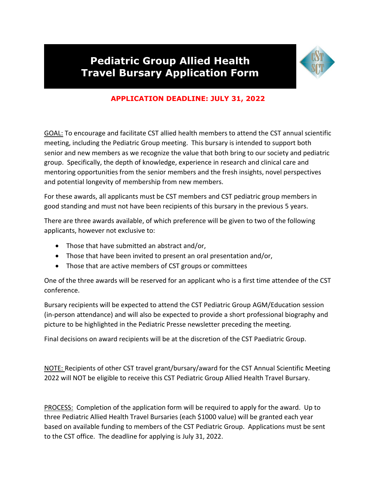## **Pediatric Group Allied Health Travel Bursary Application Form**



## **APPLICATION DEADLINE: JULY 31, 2022**

GOAL: To encourage and facilitate CST allied health members to attend the CST annual scientific meeting, including the Pediatric Group meeting. This bursary is intended to support both senior and new members as we recognize the value that both bring to our society and pediatric group. Specifically, the depth of knowledge, experience in research and clinical care and mentoring opportunities from the senior members and the fresh insights, novel perspectives and potential longevity of membership from new members.

For these awards, all applicants must be CST members and CST pediatric group members in good standing and must not have been recipients of this bursary in the previous 5 years.

There are three awards available, of which preference will be given to two of the following applicants, however not exclusive to:

- Those that have submitted an abstract and/or,
- Those that have been invited to present an oral presentation and/or,
- Those that are active members of CST groups or committees

One of the three awards will be reserved for an applicant who is a first time attendee of the CST conference.

Bursary recipients will be expected to attend the CST Pediatric Group AGM/Education session (in-person attendance) and will also be expected to provide a short professional biography and picture to be highlighted in the Pediatric Presse newsletter preceding the meeting.

Final decisions on award recipients will be at the discretion of the CST Paediatric Group.

NOTE: Recipients of other CST travel grant/bursary/award for the CST Annual Scientific Meeting 2022 will NOT be eligible to receive this CST Pediatric Group Allied Health Travel Bursary.

PROCESS: Completion of the application form will be required to apply for the award. Up to three Pediatric Allied Health Travel Bursaries (each \$1000 value) will be granted each year based on available funding to members of the CST Pediatric Group. Applications must be sent to the CST office. The deadline for applying is July 31, 2022.